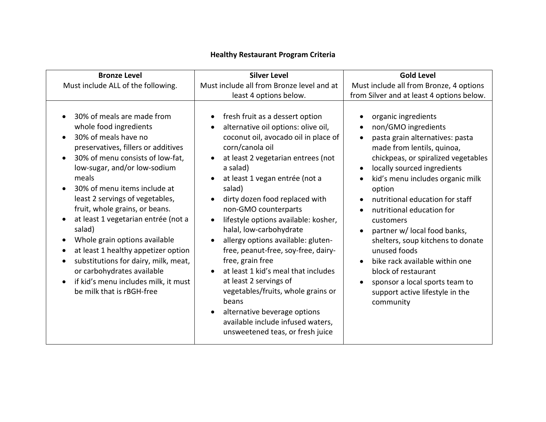| <b>Bronze Level</b>                                                                                                                                                                                                                                                                                                                                                                                                                                                                                                                                                                                                                                     | <b>Silver Level</b>                                                                                                                                                                                                                                                                                                                                                                                                                                                                                                                                                                                                                                                                                                                                                                                         | <b>Gold Level</b>                                                                                                                                                                                                                                                                                                                                                                                                                                                                                                                                                                                                                                                 |
|---------------------------------------------------------------------------------------------------------------------------------------------------------------------------------------------------------------------------------------------------------------------------------------------------------------------------------------------------------------------------------------------------------------------------------------------------------------------------------------------------------------------------------------------------------------------------------------------------------------------------------------------------------|-------------------------------------------------------------------------------------------------------------------------------------------------------------------------------------------------------------------------------------------------------------------------------------------------------------------------------------------------------------------------------------------------------------------------------------------------------------------------------------------------------------------------------------------------------------------------------------------------------------------------------------------------------------------------------------------------------------------------------------------------------------------------------------------------------------|-------------------------------------------------------------------------------------------------------------------------------------------------------------------------------------------------------------------------------------------------------------------------------------------------------------------------------------------------------------------------------------------------------------------------------------------------------------------------------------------------------------------------------------------------------------------------------------------------------------------------------------------------------------------|
| Must include ALL of the following.                                                                                                                                                                                                                                                                                                                                                                                                                                                                                                                                                                                                                      | Must include all from Bronze level and at<br>least 4 options below.                                                                                                                                                                                                                                                                                                                                                                                                                                                                                                                                                                                                                                                                                                                                         | Must include all from Bronze, 4 options<br>from Silver and at least 4 options below.                                                                                                                                                                                                                                                                                                                                                                                                                                                                                                                                                                              |
| 30% of meals are made from<br>whole food ingredients<br>30% of meals have no<br>$\bullet$<br>preservatives, fillers or additives<br>30% of menu consists of low-fat,<br>$\bullet$<br>low-sugar, and/or low-sodium<br>meals<br>30% of menu items include at<br>$\bullet$<br>least 2 servings of vegetables,<br>fruit, whole grains, or beans.<br>at least 1 vegetarian entrée (not a<br>$\bullet$<br>salad)<br>Whole grain options available<br>at least 1 healthy appetizer option<br>$\bullet$<br>substitutions for dairy, milk, meat,<br>$\bullet$<br>or carbohydrates available<br>if kid's menu includes milk, it must<br>be milk that is rBGH-free | fresh fruit as a dessert option<br>$\bullet$<br>alternative oil options: olive oil,<br>$\bullet$<br>coconut oil, avocado oil in place of<br>corn/canola oil<br>at least 2 vegetarian entrees (not<br>$\bullet$<br>a salad)<br>at least 1 vegan entrée (not a<br>$\bullet$<br>salad)<br>dirty dozen food replaced with<br>$\bullet$<br>non-GMO counterparts<br>lifestyle options available: kosher,<br>$\bullet$<br>halal, low-carbohydrate<br>allergy options available: gluten-<br>$\bullet$<br>free, peanut-free, soy-free, dairy-<br>free, grain free<br>at least 1 kid's meal that includes<br>$\bullet$<br>at least 2 servings of<br>vegetables/fruits, whole grains or<br>beans<br>alternative beverage options<br>$\bullet$<br>available include infused waters,<br>unsweetened teas, or fresh juice | organic ingredients<br>$\bullet$<br>non/GMO ingredients<br>$\bullet$<br>pasta grain alternatives: pasta<br>$\bullet$<br>made from lentils, quinoa,<br>chickpeas, or spiralized vegetables<br>locally sourced ingredients<br>$\bullet$<br>kid's menu includes organic milk<br>$\bullet$<br>option<br>nutritional education for staff<br>nutritional education for<br>$\bullet$<br>customers<br>partner w/ local food banks,<br>$\bullet$<br>shelters, soup kitchens to donate<br>unused foods<br>bike rack available within one<br>$\bullet$<br>block of restaurant<br>sponsor a local sports team to<br>$\bullet$<br>support active lifestyle in the<br>community |

## **Healthy Restaurant Program Criteria**